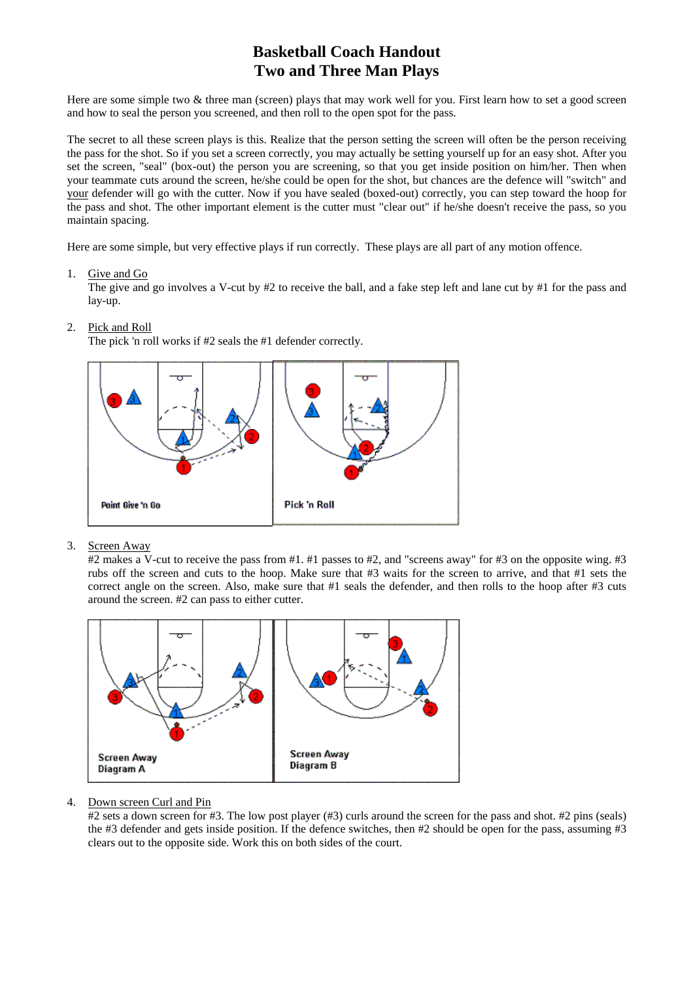# **Basketball Coach Handout Two and Three Man Plays**

Here are some simple two & three man (screen) plays that may work well for you. First learn how to set a good screen and how to seal the person you screened, and then roll to the open spot for the pass.

The secret to all these screen plays is this. Realize that the person setting the screen will often be the person receiving the pass for the shot. So if you set a screen correctly, you may actually be setting yourself up for an easy shot. After you set the screen, "seal" (box-out) the person you are screening, so that you get inside position on him/her. Then when your teammate cuts around the screen, he/she could be open for the shot, but chances are the defence will "switch" and your defender will go with the cutter. Now if you have sealed (boxed-out) correctly, you can step toward the hoop for the pass and shot. The other important element is the cutter must "clear out" if he/she doesn't receive the pass, so you maintain spacing.

Here are some simple, but very effective plays if run correctly. These plays are all part of any motion offence.

1. Give and Go

The give and go involves a V-cut by #2 to receive the ball, and a fake step left and lane cut by #1 for the pass and lay-up.

**Pick 'n Roll** Point Give 'n Go

The pick 'n roll works if #2 seals the #1 defender correctly.

2. Pick and Roll

3. Screen Away

#2 makes a V-cut to receive the pass from #1. #1 passes to #2, and "screens away" for #3 on the opposite wing. #3 rubs off the screen and cuts to the hoop. Make sure that #3 waits for the screen to arrive, and that #1 sets the correct angle on the screen. Also, make sure that #1 seals the defender, and then rolls to the hoop after #3 cuts around the screen. #2 can pass to either cutter.



#### 4. Down screen Curl and Pin

#2 sets a down screen for #3. The low post player (#3) curls around the screen for the pass and shot. #2 pins (seals) the #3 defender and gets inside position. If the defence switches, then #2 should be open for the pass, assuming #3 clears out to the opposite side. Work this on both sides of the court.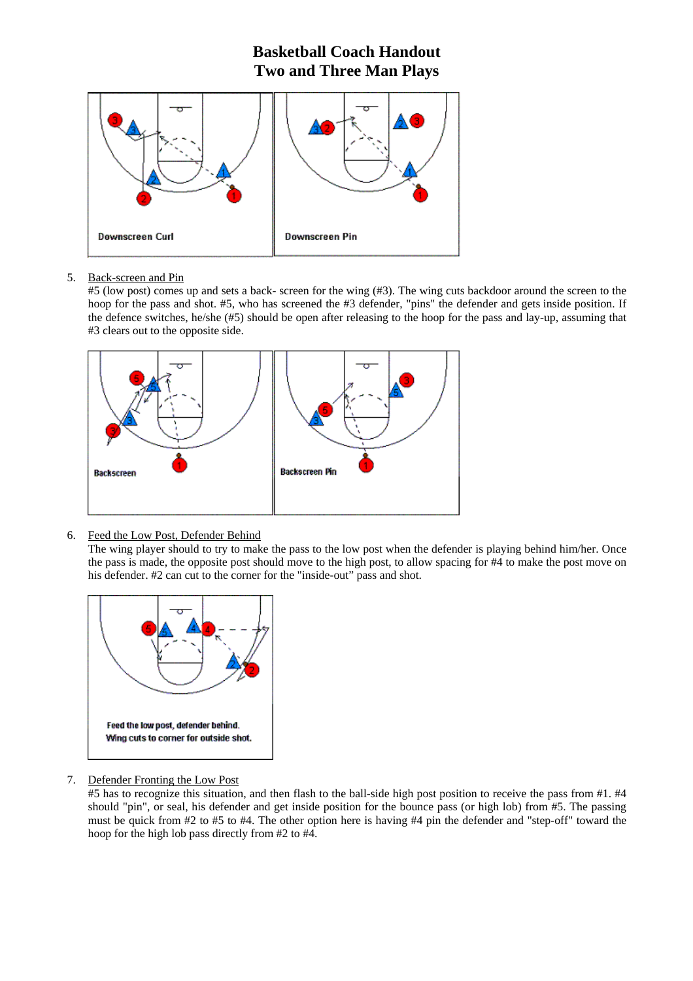### **Basketball Coach Handout Two and Three Man Plays**



### 5. Back-screen and Pin

#5 (low post) comes up and sets a back- screen for the wing (#3). The wing cuts backdoor around the screen to the hoop for the pass and shot. #5, who has screened the #3 defender, "pins" the defender and gets inside position. If the defence switches, he/she (#5) should be open after releasing to the hoop for the pass and lay-up, assuming that #3 clears out to the opposite side.



6. Feed the Low Post, Defender Behind

The wing player should to try to make the pass to the low post when the defender is playing behind him/her. Once the pass is made, the opposite post should move to the high post, to allow spacing for #4 to make the post move on his defender. #2 can cut to the corner for the "inside-out" pass and shot.



7. Defender Fronting the Low Post

#5 has to recognize this situation, and then flash to the ball-side high post position to receive the pass from #1. #4 should "pin", or seal, his defender and get inside position for the bounce pass (or high lob) from #5. The passing must be quick from #2 to #5 to #4. The other option here is having #4 pin the defender and "step-off" toward the hoop for the high lob pass directly from #2 to #4.